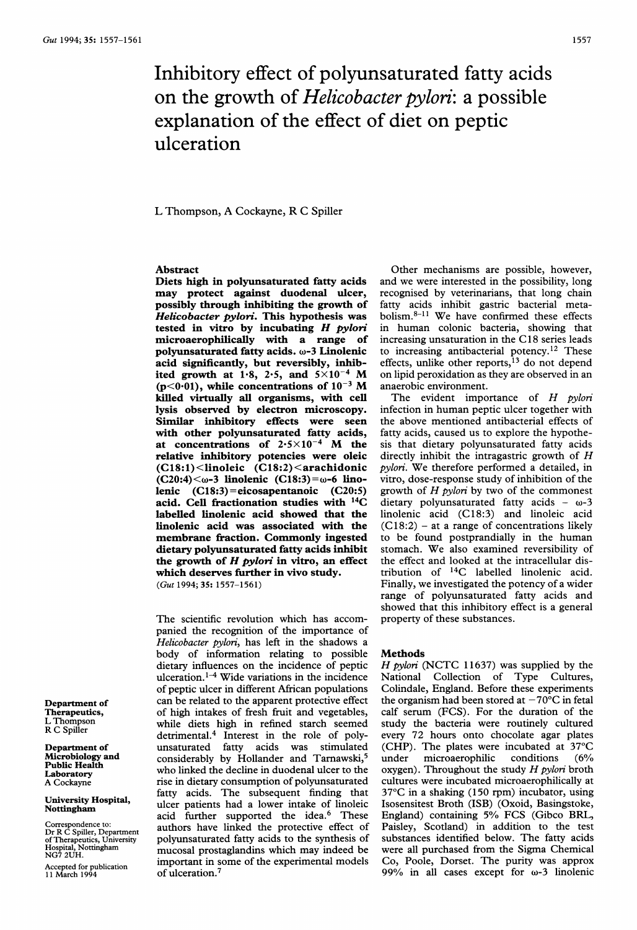# Inhibitory effect of polyunsaturated fatty acids on the growth of Helicobacter pylori: a possible explanation of the effect of diet on peptic ulceration

L Thompson, A Cockayne, R C Spiller

## Abstract

Diets high in polyunsaturated fatty acids may protect against duodenal ulcer, possibly through inhibiting the growth of Helicobacter pylori. This hypothesis was tested in vitro by incubating  $H$  pylori microaerophilically with a range of polyunsaturated fatty acids. w-3 Linolenic acid significantly, but reversibly, inhibited growth at 1.8, 2.5, and  $5\times10^{-4}$  M (p<0.01), while concentrations of  $10^{-3}$  M killed virtually all organisms, with cell lysis observed by electron microscopy. Similar inhibitory effects were seen with other polyunsaturated fatty acids, at concentrations of  $2.5 \times 10^{-4}$  M the relative inhibitory potencies were oleic (C18:1) <linoleic (C18:2) <arachidonic  $(C20:4)<\omega$ -3 linolenic  $(C18:3)=\omega$ -6 linolenic (C18:3)=eicosapentanoic (C20:5) acid. Cell fractionation studies with 14C labelled linolenic acid showed that the linolenic acid was associated with the membrane fraction. Commonly ingested dietary polyunsaturated fatty acids inhibit the growth of  $H$  pylori in vitro, an effect which deserves further in vivo study. (Gut 1994; 35: 1557-1561)

The scientific revolution which has accompanied the recognition of the importance of Helicobacter pylori, has left in the shadows a body of information relating to possible dietary influences on the incidence of peptic ulceration.<sup>1-4</sup> Wide variations in the incidence of peptic ulcer in different African populations can be related to the apparent protective effect of high intakes of fresh fruit and vegetables, while diets high in refined starch seemed detrimental.4 Interest in the role of polyunsaturated fatty acids was stimulated considerably by Hollander and Tarnawski,<sup>5</sup> who linked the decline in duodenal ulcer to the rise in dietary consumption of polyunsaturated fatty acids. The subsequent finding that ulcer patients had a lower intake of linoleic acid further supported the idea.<sup>6</sup> These authors have linked the protective effect of polyunsaturated fatty acids to the synthesis of mucosal prostaglandins which may indeed be important in some of the experimental models of ulceration.7

Other mechanisms are possible, however, and we were interested in the possibility, long recognised by veterinarians, that long chain fatty acids inhibit gastric bacterial metabolism. $8-11$  We have confirmed these effects in human colonic bacteria, showing that increasing unsaturation in the C <sup>18</sup> series leads to increasing antibacterial potency.<sup>12</sup> These effects, unlike other reports,<sup>13</sup> do not depend on lipid peroxidation as they are observed in an anaerobic environment.

The evident importance of H pylori infection in human peptic ulcer together with the above mentioned antibacterial effects of fatty acids, caused us to explore the hypothesis that dietary polyunsaturated fatty acids directly inhibit the intragastric growth of H pylori. We therefore performed <sup>a</sup> detailed, in vitro, dose-response study of inhibition of the growth of  $H$  pylori by two of the commonest dietary polyunsaturated fatty acids  $-\omega$ -3 linolenic acid (C18:3) and linoleic acid  $(C18:2)$  – at a range of concentrations likely to be found postprandially in the human stomach. We also examined reversibility of the effect and looked at the intracellular distribution of 14C labelled linolenic acid. Finally, we investigated the potency of a wider range of polyunsaturated fatty acids and showed that this inhibitory effect is a general property of these substances.

### Methods

H pylori (NCTC 11637) was supplied by the National Collection of Type Cultures, Colindale, England. Before these experiments the organism had been stored at  $-70^{\circ}$ C in fetal calf serum (FCS). For the duration of the study the bacteria were routinely cultured every 72 hours onto chocolate agar plates (CHP). The plates were incubated at 37°C under microaerophilic conditions (6% oxygen). Throughout the study  $H$  pylori broth cultures were incubated microaerophilically at 37°C in a shaking (150 rpm) incubator, using Isosensitest Broth (ISB) (Oxoid, Basingstoke, England) containing 5% FCS (Gibco BRL, Paisley, Scotland) in addition to the test substances identified below. The fatty acids were all purchased from the Sigma Chemical Co, Poole, Dorset. The purity was approx 99% in all cases except for  $\omega$ -3 linolenic

Department of Therapeutics, L Thompson R C Spiller

Department of Microbiology and Public Health Laboratory A Cockayne

University Hospital, Nottingham

Correspondence to: Dr R C Spiller, Department of Therapeutics, University Hospital, Nottingham NG7 2UH.

Accepted for publication I1 March 1994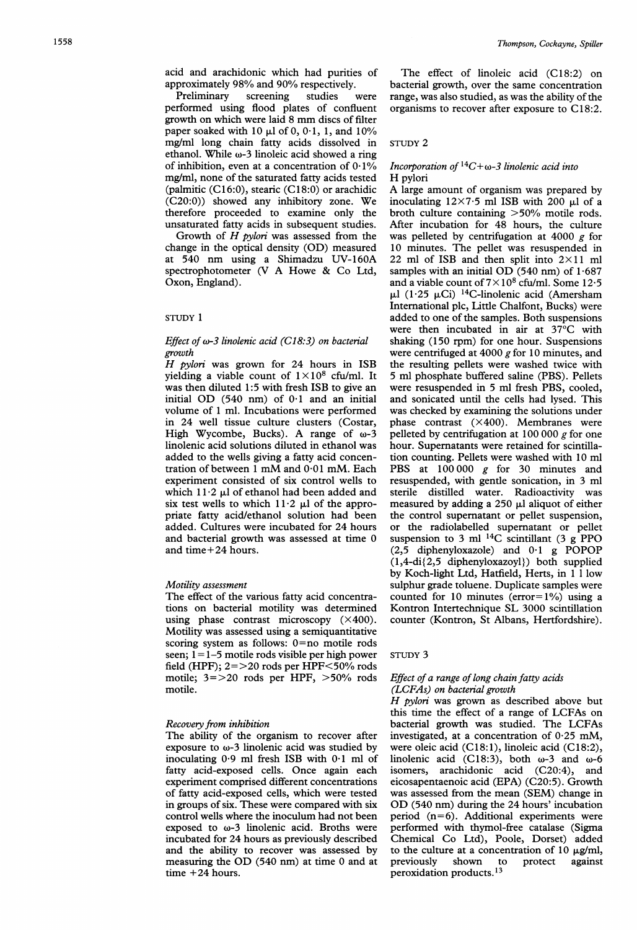acid and arachidonic which had purities of approximately 98% and 90% respectively.

Preliminary screening studies were performed using flood plates of confluent growth on which were laid <sup>8</sup> mm discs of filter paper soaked with 10  $\mu$ l of 0, 0.1, 1, and 10% mg/ml long chain fatty acids dissolved in ethanol. While  $\omega$ -3 linoleic acid showed a ring of inhibition, even at a concentration of  $0.1\%$ mg/ml, none of the saturated fatty acids tested (palmitic  $(C16:0)$ , stearic  $(C18:0)$  or arachidic (C20:0)) showed any inhibitory zone. We therefore proceeded to examine only the unsaturated fatty acids in subsequent studies.

Growth of  $H$  pylori was assessed from the change in the optical density (OD) measured at 540 nm using a Shimadzu UV-160A spectrophotometer (V A Howe & Co Ltd, Oxon, England).

## STUDY <sup>1</sup>

# Effect of  $\omega$ -3 linolenic acid (C18:3) on bacterial growth

 $H$  pylori was grown for 24 hours in ISB yielding a viable count of  $1 \times 10^8$  cfu/ml. It was then diluted 1:5 with fresh ISB to give an initial OD  $(540 \text{ nm})$  of  $0.1$  and an initial volume of <sup>1</sup> ml. Incubations were performed in 24 well tissue culture clusters (Costar, High Wycombe, Bucks). A range of  $\omega$ -3 linolenic acid solutions diluted in ethanol was added to the wells giving a fatty acid concentration of between <sup>1</sup> mM and 0-01 mM. Each experiment consisted of six control wells to which  $11.2$   $\mu$ l of ethanol had been added and six test wells to which  $11.2 \mu l$  of the appropriate fatty acid/ethanol solution had been added. Cultures were incubated for 24 hours and bacterial growth was assessed at time 0 and time+24 hours.

## Motility assessment

The effect of the various fatty acid concentrations on bacterial motility was determined using phase contrast microscopy  $(\times 400)$ . Motility was assessed using a semiquantitative scoring system as follows: 0=no motile rods seen; <sup>1</sup>= 1-5 motile rods visible per high power field (HPF);  $2 = > 20$  rods per HPF $<$ 50% rods motile;  $3 = > 20$  rods per HPF,  $> 50\%$  rods motile.

### Recovery from inhibition

The ability of the organism to recover after exposure to  $\omega$ -3 linolenic acid was studied by inoculating 0-9 ml fresh ISB with 0-1 ml of fatty acid-exposed cells. Once again each experiment comprised different concentrations of fatty acid-exposed cells, which were tested in groups of six. These were compared with six control wells where the inoculum had not been exposed to  $\omega$ -3 linolenic acid. Broths were incubated for 24 hours as previously described and the ability to recover was assessed by measuring the OD (540 nm) at time <sup>0</sup> and at time +24 hours.

The effect of linoleic acid (C18:2) on bacterial growth, over the same concentration range, was also studied, as was the ability of the organisms to recover after exposure to C18:2.

## STUDY 2

# Incorporation of  ${}^{14}C+\omega-3$  linolenic acid into H pylori

A large amount of organism was prepared by inoculating  $12\times7.5$  ml ISB with 200  $\mu$ l of a broth culture containing >50% motile rods. After incubation for 48 hours, the culture was pelleted by centrifugation at 4000  $g$  for 10 minutes. The pellet was resuspended in 22 ml of ISB and then split into  $2 \times 11$  ml samples with an initial OD (540 nm) of  $1.687$ and a viable count of  $7 \times 10^8$  cfu/ml. Some 12.5  $\mu$ l (1.25  $\mu$ Ci) <sup>14</sup>C-linolenic acid (Amersham International plc, Little Chalfont, Bucks) were added to one of the samples. Both suspensions were then incubated in air at 37°C with shaking (150 rpm) for one hour. Suspensions were centrifuged at 4000  $g$  for 10 minutes, and the resulting pellets were washed twice with 5 ml phosphate buffered saline (PBS). Pellets were resuspended in 5 ml fresh PBS, cooled, and sonicated until the cells had lysed. This was checked by examining the solutions under phase contrast (X400). Membranes were pelleted by centrifugation at 100 000  $g$  for one hour. Supernatants were retained for scintillation counting. Pellets were washed with 10 ml PBS at 100000 g for 30 minutes and resuspended, with gentle sonication, in 3 ml sterile distilled water. Radioactivity was measured by adding a 250  $\mu$ l aliquot of either the control supernatant or pellet suspension, or the radiolabelled supernatant or pellet suspension to 3 ml  $^{14}$ C scintillant (3 g PPO (2,5 diphenyloxazole) and 0-1 <sup>g</sup> POPOP (1,4-di{2,5 diphenyloxazoyl}) both supplied by Koch-light Ltd, Hatfield, Herts, in <sup>1</sup> <sup>1</sup> low sulphur grade toluene. Duplicate samples were counted for 10 minutes ( $error = 1\%$ ) using a Kontron Intertechnique SL 3000 scintillation counter (Kontron, St Albans, Hertfordshire).

## STUDY 3

## Effect of a range of long chain fatty acids (LCFAs) on bacterial growth

H pylori was grown as described above but this time the effect of <sup>a</sup> range of LCFAs on bacterial growth was studied. The LCFAs investigated, at <sup>a</sup> concentration of 0-25 mM, were oleic acid (C18:1), linoleic acid (C18:2), linolenic acid (C18:3), both  $\omega$ -3 and  $\omega$ -6 isomers, arachidonic acid (C20:4), and eicosapentaenoic acid (EPA) (C20:5). Growth was assessed from the mean (SEM) change in OD (540 nm) during the <sup>24</sup> hours' incubation period  $(n=6)$ . Additional experiments were performed with thymol-free catalase (Sigma Chemical Co Ltd), Poole, Dorset) added to the culture at a concentration of 10  $\mu$ g/ml, previously shown to protect against peroxidation products.13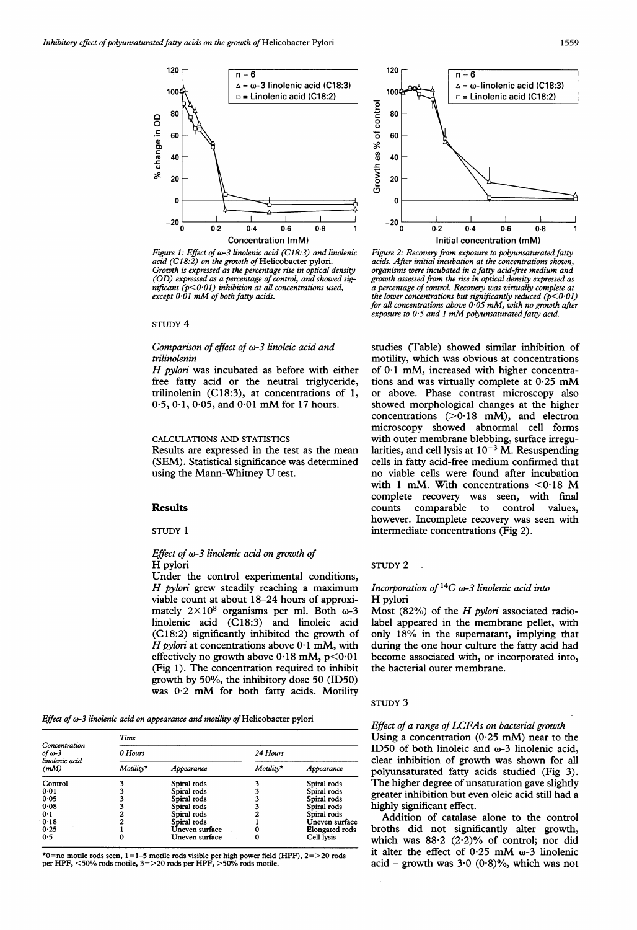

Figure 1: Effect of  $\omega$ -3 linolenic acid (C18:3) and linolenic acid (C18:2) on the growth of Helicobacter pylori. Growth is expressed as the percentage rise in optical density (OD) expressed as a percentage of control, and showed significant  $(p<0.01)$  inhibition at all concentrations used, except  $0.01$  mM of both fatty acids.

## STUDY 4

## Comparison of effect of  $\omega$ -3 linoleic acid and trilinolenin

H pylori was incubated as before with either free fatty acid or the neutral triglyceride, trilinolenin (C18:3), at concentrations of 1, 0.5, 0.1, 0.05, and 0.01 mM for 17 hours.

# CALCULATIONS AND STATISTICS

Results are expressed in the test as the mean (SEM). Statistical significance was determined using the Mann-Whitney U test.

#### Results

STUDY <sup>1</sup>

## Effect of  $\omega$ -3 linolenic acid on growth of H pylori

Under the control experimental conditions, H pylori grew steadily reaching a maximum viable count at about 18-24 hours of approximately  $2 \times 10^8$  organisms per ml. Both  $\omega$ -3 linolenic acid (C18:3) and linoleic acid (C18:2) significantly inhibited the growth of H pylori at concentrations above  $0.1$  mM, with effectively no growth above  $0.18$  mM,  $p < 0.01$ (Fig 1). The concentration required to inhibit growth by 50%, the inhibitory dose 50 (ID50) was 0-2 mM for both fatty acids. Motility

Effect of w-3 linolenic acid on appearance and motility of Helicobacter pylori

| Concentration<br>of $\omega$ -3<br>linolenic acid<br>(mM) | Time      |                |           |                       |
|-----------------------------------------------------------|-----------|----------------|-----------|-----------------------|
|                                                           | 0 Hours   |                | 24 Hours  |                       |
|                                                           | Motility* | Appearance     | Motility* | Appearance            |
| Control                                                   |           | Spiral rods    |           | Spiral rods           |
| 0.01                                                      |           | Spiral rods    |           | Spiral rods           |
| 0.05                                                      |           | Spiral rods    |           | Spiral rods           |
| 0.08                                                      |           | Spiral rods    |           | Spiral rods           |
| 0.1                                                       |           | Spiral rods    |           | Spiral rods           |
| 0.18                                                      |           | Spiral rods    |           | Uneven surface        |
| 0.25                                                      |           | Uneven surface |           | <b>Elongated rods</b> |
| 0.5                                                       |           | Uneven surface | 0         | Cell lysis            |

\*0=no motile rods seen, <sup>1</sup> = 1-5 motile rods visible per high power field (HPF), 2= >20 rods per HPF, <50% rods motile, 3=>20 rods per HPF, >50% rods motile.



Figure 2: Recovery from exposure to polyunsaturated fatty acids. After initial incubation at the concentrations shown, organisms were incubated in a fatty acid-free medium and growth assessed from the rise in optical density expressed as a percentage of control. Recovery was virtually complete at the lower concentrations but significantly reduced ( $p<0.01$ ) for all concentrations above 0.05 mM, with no growth after exposure to  $0.5$  and  $1 \text{ mM}$  polyunsaturated fatty acid.

studies (Table) showed similar inhibition of motility, which was obvious at concentrations of  $0.1$  mM, increased with higher concentrations and was virtually complete at 0-25 mM or above. Phase contrast microscopy also showed morphological changes at the higher concentrations  $(>0.18$  mM), and electron microscopy showed abnormal cell forms with outer membrane blebbing, surface irregularities, and cell lysis at  $10^{-3}$  M. Resuspending cells in fatty acid-free medium confirmed that no viable cells were found after incubation with <sup>1</sup> mM. With concentrations <0-18 M complete recovery was seen, with final counts comparable to control values, however. Incomplete recovery was seen with intermediate concentrations (Fig 2).

STUDY 2

# Incorporation of  ${}^{14}C$   $\omega$ -3 linolenic acid into H pylori

Most (82%) of the H pylori associated radiolabel appeared in the membrane pellet, with only 18% in the supernatant, implying that during the one hour culture the fatty acid had become associated with, or incorporated into, the bacterial outer membrane.

### STUDY 3

## Effect of a range of LCFAs on bacterial growth

Using a concentration  $(0.25 \text{ mM})$  near to the ID50 of both linoleic and  $\omega$ -3 linolenic acid, clear inhibition of growth was shown for all polyunsaturated fatty acids studied (Fig 3). The higher degree of unsaturation gave slightly greater inhibition but even oleic acid still had a highly significant effect.

Addition of catalase alone to the control broths did not significantly alter growth, which was  $88.2$  (2.2)% of control; nor did it alter the effect of  $0.25$  mM  $\omega$ -3 linolenic acid - growth was  $3.0$  (0.8)%, which was not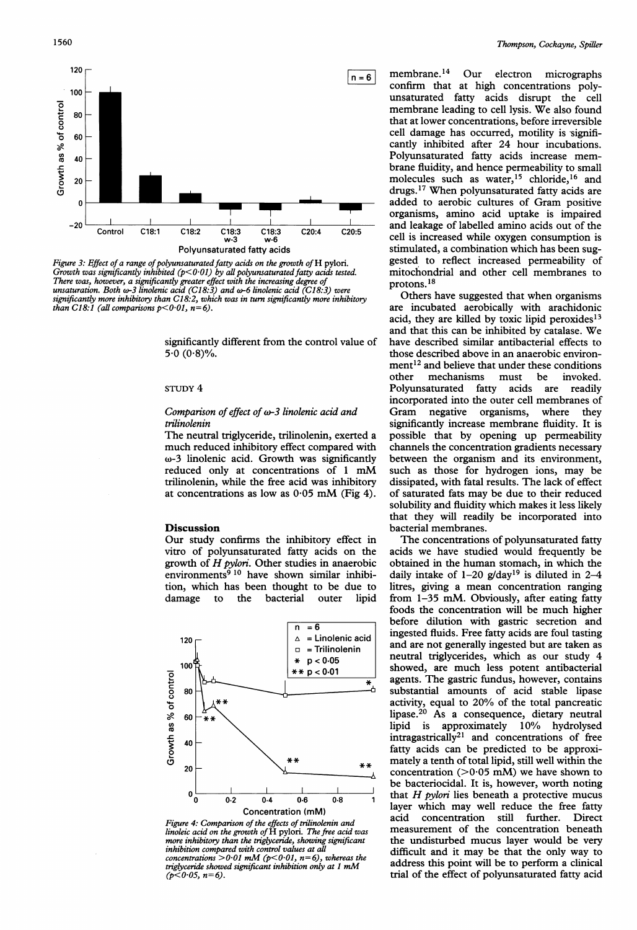

Figure 3: Effect of a range of polyunsaturated fatty acids on the growth of  $H$  pylori. Growth was significantly inhibited ( $p$ <0.01) by all polyunsaturated fatty acids tested. There was, however, a significantly greater effect with the increasing degr<br>unsaturation. Both ω-3 linolenic acid (C18:3) and ω-6 linolenic acid (C significantly more inhibitory than  $C18.2$ , which was in turn significantly more inhibitory than C18:1 (all comparisons  $p<0.01$ ,  $n=6$ ).

significantly different from the control value of  $5.0 (0.8)\%$ .

## STUDY 4

## Comparison of effect of  $\omega$ -3 linolenic acid and trilinolenin

The neutral triglyceride, trilinolenin, exerted a much reduced inhibitory effect compared with  $\omega$ -3 linolenic acid. Growth was significantly reduced only at concentrations of 1 mM trilinolenin, while the free acid at concentrations as low as  $0.05$  mM (Fig 4).

## **Discussion**

Our study confirms the inhibitory effect in vitro of polyunsaturated fatty growth of  $H$  pylori. Other studies in anaerobic environments $9^{10}$  have shown similar inhibition, which has been thought to be due to damage to the bacterial





 $n=6$  membrane.<sup>14</sup> Our electron micrographs confirm that at high concentrations polyunsaturated fatty acids disrupt the cell membrane leading to cell lysis. We also found that at lower concentrations, before irreversible cell damage has occurred, motility is significantly inhibited after 24 hour incubations. Polyunsaturated fatty acids increase membrane fluidity, and hence permeability to small molecules such as water,<sup>15</sup> chloride,<sup>16</sup> and drugs.'7 When polyunsaturated fatty acids are added to aerobic cultures of Gram positive organisms, amino acid uptake is impaired  $\frac{1}{20:4}$  and leakage of labelled amino acids out of the cell is increased while oxygen consumption is stimulated, a combination which has been suggested to reflect increased permeability of mitochondrial and other cell membranes to protons.<sup>18</sup>

Others have suggested that when organisms are incubated aerobically with arachidonic acid, they are killed by toxic lipid peroxides<sup>13</sup> and that this can be inhibited by catalase. We have described similar antibacterial effects to those described above in an anaerobic environ- $\text{ment}^{12}$  and believe that under these conditions other mechanisms must be invoked.<br>Polyunsaturated fatty acids are readily Polyunsaturated fatty acids are readily incorporated into the outer cell membranes of Gram negative organisms, where they significantly increase membrane fluidity. It is possible that by opening up permeability channels the concentration gradients necessary between the organism and its environment, such as those for hydrogen ions, may be dissipated, with fatal results. The lack of effect of saturated fats may be due to their reduced solubility and fluidity which makes it less likely that they will readily be incorporated into bacterial membranes.

The concentrations of polyunsaturated fatty acids we have studied would frequently be obtained in the human stomach, in which the daily intake of 1-20 g/day<sup>19</sup> is diluted in 2-4 litres, giving a mean concentration ranging outer lipid from 1-35 mM. Obviously, after eating fatty foods the concentration will be much higher  $\frac{1}{16}$  before dilution with gastric secretion and<br>bingested fluids. Free fatty acids are foul tasting  $=$  Linolenic acid  $\begin{bmatrix} \text{m} \text{g} \text{c} \text{b} \text{c} \text{d} \text{d} \text{d} \text{d} \text{e} \text{d} \text{e} \text{d} \text{e} \text{d} \text{e} \text{d} \text{e} \text{d} \text{e} \text{d} \text{d} \text{d} \text{e} \text{d} \text{e} \text{d} \text{d} \text{e} \text{d} \text{d} \text{e} \text{d} \text{d} \text{e} \text{d} \text{e} \text{d} \text{e}$  $=$  Trilinolenin  $\parallel$  and are not generally ingested but are taken as  $p < 0.05$ <br>  $\ast p < 0.01$  neutral triglycerides, which as our study 4<br>  $\ast p < 0.01$  showed, are much less potent antibacterial showed, are much less potent antibacterial  $\vec{v}$  agents. The gastric fundus, however, contains substantial amounts of acid stable lipase activity, equal to 20% of the total pancreatic lipase.<sup>20</sup> As a consequence, dietary neutral lipid is approximately 10% hydrolysed  $intragastrically<sup>21</sup>$  and concentrations of free fatty acids can be predicted to be approxi mately a tenth of total lipid, still well within the concentration ( $>0.05$  mM) we have shown to be bacteriocidal. It is, however, worth noting  $\frac{1}{0.8}$  that H pylori lies beneath a protective mucus<br>layer which may well reduce the free fatty mM) and a reduce the free fatty<br>in a acid concentration still further. Direct measurement of the concentration beneath the undisturbed mucus layer would be very difficult and it may be that the only way to address this point will be to perform a clinical trial of the effect of polyunsaturated fatty acid